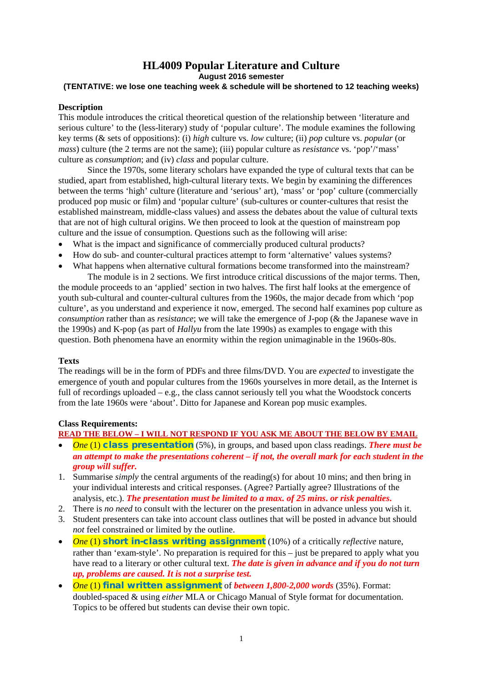# **HL4009 Popular Literature and Culture August 2016 semester**

### **(TENTATIVE: we lose one teaching week & schedule will be shortened to 12 teaching weeks)**

### **Description**

This module introduces the critical theoretical question of the relationship between 'literature and serious culture' to the (less-literary) study of 'popular culture'. The module examines the following key terms (& sets of oppositions): (i) *high* culture vs. *low* culture; (ii) *pop* culture vs. *popular* (or *mass*) culture (the 2 terms are not the same); (iii) popular culture as *resistance* vs. 'pop'/'mass' culture as *consumption*; and (iv) *class* and popular culture.

Since the 1970s, some literary scholars have expanded the type of cultural texts that can be studied, apart from established, high-cultural literary texts. We begin by examining the differences between the terms 'high' culture (literature and 'serious' art), 'mass' or 'pop' culture (commercially produced pop music or film) and 'popular culture' (sub-cultures or counter-cultures that resist the established mainstream, middle-class values) and assess the debates about the value of cultural texts that are not of high cultural origins. We then proceed to look at the question of mainstream pop culture and the issue of consumption. Questions such as the following will arise:

- What is the impact and significance of commercially produced cultural products?
- How do sub- and counter-cultural practices attempt to form 'alternative' values systems?
- What happens when alternative cultural formations become transformed into the mainstream? The module is in 2 sections. We first introduce critical discussions of the major terms. Then,

the module proceeds to an 'applied' section in two halves. The first half looks at the emergence of youth sub-cultural and counter-cultural cultures from the 1960s, the major decade from which 'pop culture', as you understand and experience it now, emerged. The second half examines pop culture as *consumption* rather than as *resistance*; we will take the emergence of J-pop (& the Japanese wave in the 1990s) and K-pop (as part of *Hallyu* from the late 1990s) as examples to engage with this question. Both phenomena have an enormity within the region unimaginable in the 1960s-80s.

### **Texts**

The readings will be in the form of PDFs and three films/DVD. You are *expected* to investigate the emergence of youth and popular cultures from the 1960s yourselves in more detail, as the Internet is full of recordings uploaded  $-e.g.,$  the class cannot seriously tell you what the Woodstock concerts from the late 1960s were 'about'. Ditto for Japanese and Korean pop music examples.

### **Class Requirements:**

**READ THE BELOW – I WILL NOT RESPOND IF YOU ASK ME ABOUT THE BELOW BY EMAIL**

- *One* (1) class presentation (5%), in groups, and based upon class readings. *There must be an attempt to make the presentations coherent – if not, the overall mark for each student in the group will suffer.*
- 1. Summarise *simply* the central arguments of the reading(s) for about 10 mins; and then bring in your individual interests and critical responses. (Agree? Partially agree? Illustrations of the analysis, etc.). *The presentation must be limited to a max. of 25 mins***.** *or risk penalties***.**
- 2. There is *no need* to consult with the lecturer on the presentation in advance unless you wish it.
- 3. Student presenters can take into account class outlines that will be posted in advance but should *not* feel constrained or limited by the outline.
- *One* (1) short in-class writing assignment (10%) of a critically *reflective* nature, rather than 'exam-style'. No preparation is required for this – just be prepared to apply what you have read to a literary or other cultural text. *The date is given in advance and if you do not turn up, problems are caused. It is not a surprise test.*
- *One* (1) final written assignment of *between 1,800-2,000 words* (35%). Format: doubled-spaced & using *either* MLA or Chicago Manual of Style format for documentation. Topics to be offered but students can devise their own topic.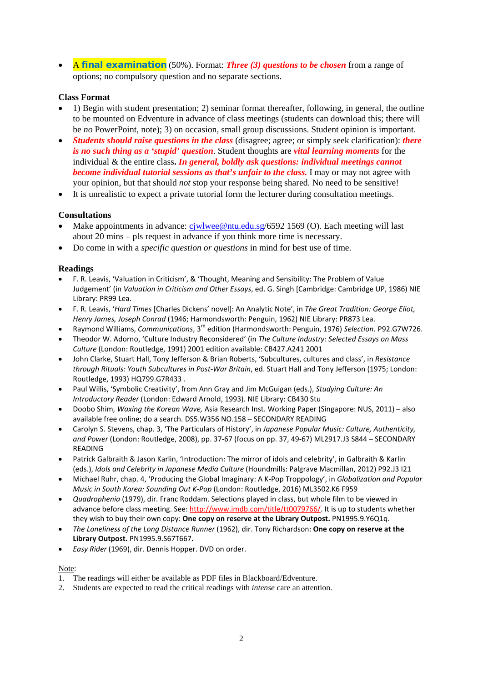• A final examination (50%). Format: *Three (3) questions to be chosen* from a range of options; no compulsory question and no separate sections.

#### **Class Format**

- 1) Begin with student presentation; 2) seminar format thereafter, following, in general, the outline to be mounted on Edventure in advance of class meetings (students can download this; there will be *no* PowerPoint, note); 3) on occasion, small group discussions. Student opinion is important.
- *Students should raise questions in the class* (disagree; agree; or simply seek clarification): *there is no such thing as a 'stupid' question*. Student thoughts are *vital learning moments* for the individual & the entire class**.** *In general, boldly ask questions: individual meetings cannot become individual tutorial sessions as that's unfair to the class.* I may or may not agree with your opinion, but that should *not* stop your response being shared. No need to be sensitive!
- It is unrealistic to expect a private tutorial form the lecturer during consultation meetings.

#### **Consultations**

- Make appointments in advance: [cjwlwee@ntu.edu.sg/](mailto:cjwlwee@ntu.edu.sg)6592 1569 (O). Each meeting will last about 20 mins – pls request in advance if you think more time is necessary.
- Do come in with a *specific question or questions* in mind for best use of time.

#### **Readings**

- F. R. Leavis, 'Valuation in Criticism', & 'Thought, Meaning and Sensibility: The Problem of Value Judgement' (in *Valuation in Criticism and Other Essays*, ed. G. Singh [Cambridge: Cambridge UP, 1986) NIE Library: PR99 Lea.
- F. R. Leavis, '*Hard Times* [Charles Dickens' novel]: An Analytic Note', in *The Great Tradition: George Eliot, Henry James, Joseph Conrad* (1946; Harmondsworth: Penguin, 1962) NIE Library: PR873 Lea.
- Raymond Williams, *Communications*, 3rd edition (Harmondsworth: Penguin, 1976) *Selection*. P92.G7W726.
- Theodor W. Adorno, 'Culture Industry Reconsidered' (in *The Culture Industry: Selected Essays on Mass Culture* (London: Routledge, 1991) 2001 edition available: CB427.A241 2001
- John Clarke, Stuart Hall, Tony Jefferson & Brian Roberts, 'Subcultures, cultures and class', in *Resistance through Rituals: Youth Subcultures in Post-War Britain*, ed. Stuart Hall and Tony Jefferson (1975; London: Routledge, 1993) HQ799.G7R433 .
- Paul Willis, 'Symbolic Creativity', from Ann Gray and Jim McGuigan (eds.), *Studying Culture: An Introductory Reader* (London: Edward Arnold, 1993). NIE Library: CB430 Stu
- Doobo Shim, *Waxing the Korean Wave,* Asia Research Inst. Working Paper (Singapore: NUS, 2011) also available free online; do a search. DS5.W356 NO.158 – SECONDARY READING
- Carolyn S. Stevens, chap. 3, 'The Particulars of History', in *Japanese Popular Music: Culture, Authenticity, and Power* (London: Routledge, 2008), pp. 37-67 (focus on pp. 37, 49-67) ML2917.J3 S844 – SECONDARY READING
- Patrick Galbraith & Jason Karlin, 'Introduction: The mirror of idols and celebrity', in Galbraith & Karlin (eds.), *Idols and Celebrity in Japanese Media Culture* (Houndmills: Palgrave Macmillan, 2012) P92.J3 I21
- Michael Ruhr, chap. 4, 'Producing the Global Imaginary: A K-Pop Troppology', in *Globalization and Popular Music in South Korea: Sounding Out K-Pop* (London: Routledge, 2016) ML3502.K6 F959
- *Quadrophenia* (1979), dir. Franc Roddam. Selections played in class, but whole film to be viewed in advance before class meeting. See: [http://www.imdb.com/title/tt0079766/.](http://www.imdb.com/title/tt0079766/) It is up to students whether they wish to buy their own copy: **One copy on reserve at the Library Outpost.** PN1995.9.Y6Q1q.
- *The Loneliness of the Long Distance Runner* (1962), dir. Tony Richardson: **One copy on reserve at the Library Outpost.** PN1995.9.S67T667**.**
- *Easy Rider* (1969), dir. Dennis Hopper. DVD on order.

#### Note:

- 1. The readings will either be available as PDF files in Blackboard/Edventure.
- 2. Students are expected to read the critical readings with *intense* care an attention.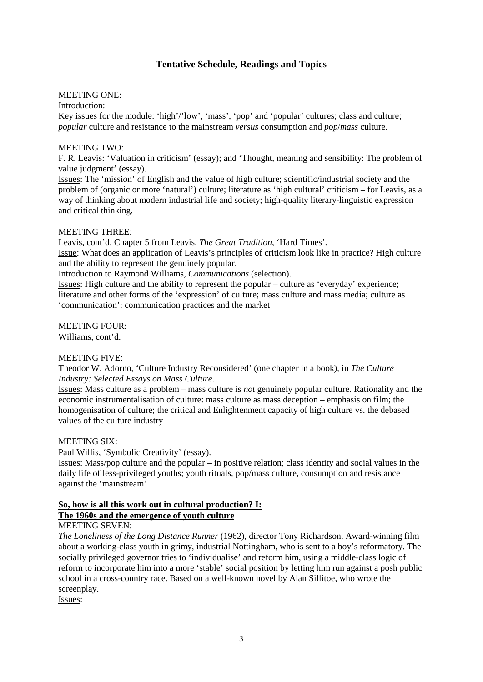## **Tentative Schedule, Readings and Topics**

### MEETING ONE:

Introduction:

Key issues for the module: 'high'/'low', 'mass', 'pop' and 'popular' cultures; class and culture; *popular* culture and resistance to the mainstream *versus* consumption and *pop*/*mass* culture.

### MEETING TWO:

F. R. Leavis: 'Valuation in criticism' (essay); and 'Thought, meaning and sensibility: The problem of value judgment' (essay).

Issues: The 'mission' of English and the value of high culture; scientific/industrial society and the problem of (organic or more 'natural') culture; literature as 'high cultural' criticism – for Leavis, as a way of thinking about modern industrial life and society; high-quality literary-linguistic expression and critical thinking.

### MEETING THREE:

Leavis, cont'd. Chapter 5 from Leavis, *The Great Tradition*, 'Hard Times'. Issue: What does an application of Leavis's principles of criticism look like in practice? High culture and the ability to represent the genuinely popular.

Introduction to Raymond Williams, *Communications* (selection).

Issues: High culture and the ability to represent the popular – culture as 'everyday' experience; literature and other forms of the 'expression' of culture; mass culture and mass media; culture as 'communication'; communication practices and the market

### MEETING FOUR:

Williams, cont'd.

### MEETING FIVE:

Theodor W. Adorno, 'Culture Industry Reconsidered' (one chapter in a book), in *The Culture Industry: Selected Essays on Mass Culture*.

Issues: Mass culture as a problem – mass culture is *not* genuinely popular culture. Rationality and the economic instrumentalisation of culture: mass culture as mass deception – emphasis on film; the homogenisation of culture; the critical and Enlightenment capacity of high culture vs. the debased values of the culture industry

### MEETING SIX:

Paul Willis, 'Symbolic Creativity' (essay).

Issues: Mass/pop culture and the popular – in positive relation; class identity and social values in the daily life of less-privileged youths; youth rituals, pop/mass culture, consumption and resistance against the 'mainstream'

#### **So, how is all this work out in cultural production? I: The 1960s and the emergence of youth culture**

### MEETING SEVEN:

*The Loneliness of the Long Distance Runner* (1962), director Tony Richardson. Award-winning film about a working-class youth in grimy, industrial Nottingham, who is sent to a boy's reformatory. The socially privileged governor tries to 'individualise' and reform him, using a middle-class logic of reform to incorporate him into a more 'stable' social position by letting him run against a posh public school in a cross-country race. Based on a well-known novel by Alan Sillitoe, who wrote the screenplay.

Issues: